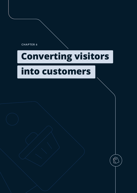<span id="page-0-0"></span>**CHAPTER 6**

# **Converting visitors**

 $\mathbb{C}$ 

# **into customers**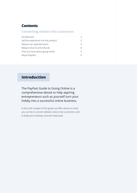#### <span id="page-1-0"></span>**Contents**

#### **Converting visitors into customers**

| Introduction                        | $\mathcal{D}$ |
|-------------------------------------|---------------|
| Sell the experience not the product | 3             |
| Reduce cart abandonment             | 4             |
| Reduce returns and refunds          | 6             |
| Find out more about going online    | 9             |
| About PayFast                       | q             |

# **Introduction**

The PayFast Guide to Going Online is a comprehensive ebook to help aspiring entrepreneurs such as yourself turn your hobby into a successful online business.

In this sixth chapter of the guide, we offer advice on what you can do to convert website visitors into customers, and to keep your existing customer base loyal.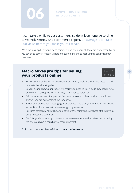<span id="page-2-0"></span>

It can take a while to get customers, so don't lose hope. According to Warrick Kernes, SA's Ecommerce Expert, on average it can take 800 views before you make your first sale.

While the main tip here would be to persevere and give it your all, there are a few other things you can do to convert website visitors into customers, and to keep your existing customer base loyal.

### **Macro Mixes pro tips for selling your products online**



- Be honest and authentic. No one expects perfection, apologise when you mess up and celebrate the wins altogether.
- Be very clear on how your product will improve someone's life. Why do they need it, what problem is it solving and HOW can they take action to obtain it?
- Sell the experience not the product. You have to solve a problem and sell the solution. This way you are personalising the experience.
- Have clarity around your messaging, your products and even your company mission and values. Don't force people to waste energy on guess work.
- Research constantly. Always be aware of what's 'trending' and stay ahead of the curve by being honest and authentic.
- Don't forget about existing customers. Yes new customers are important but nurturing the ones you have is equally if not more important.

To find out more about Macro Mixes, visit **[macromixes.co.za](https://macromixes.co.za/shop/)**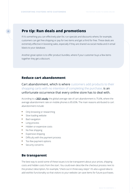#### <span id="page-3-0"></span>**Pro tip: Run deals and promotions**

If it's something you can effectively plan for, run specials and discounts where, for example, customers can get free shipping or pay for two items and get a third for free. These deals are extremely effective in boosting sales, especially if they are shared via social media and in email blasts to your database.

Another great option is to offer product bundles, where if your customer buys a few items together they get a discount.

#### **Reduce cart abandonment**

Cart abandonment, which is where customers add products to their shopping carts with no intention of completing the purchase, is an unfortunate occurrence that every online store has to deal with.

According to a **[2021 study](https://truelist.co/blog/shopping-cart-abandonment-stats/#:~:text=The%20global%20average%20rate%20of,on%20cart%20abandonment%20are%20opened.)**, the global average rate of cart abandonment is 75.6%, where the average abandonment rate on mobile phones is 85.65%. The main reasons attributed to cart abandonment include:

- **•** Only browsing or researching
- **•** Slow loading website
- **•** Bad navigation
- **•** Long process
- **•** Hidden or expensive costs
- **•** No free shipping
- **•** Expensive shipping
- **•** Difficulty with the payment process
- **•** Too few payment options
- **•** Security concerns

#### **Be transparent**

The best way to avoid some of these issues is to be transparent about your prices, shipping costs and hidden costs from the start. You could even describe the checkout process next to the product description, for example, "check out in three easy steps". It's also a good idea to add wishlist functionality so that visitors to your website can save items for future purchases.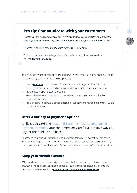#### **Pro tip: Communicate with your customers**

*"Customers are happy to wait for orders if this has been communicated to them at the time of purchase, and you regularly communicate order progress with that customer."*

*- Celeste Le Roux, Co-founder of madebyartisans - Online Store*

To find out more about madebyartisans - Online Store, read their **[case study](https://www.payfast.co.za/blog/how-madebyartisans-online-store-is-helping-merchants-affected-by-lockdown/)** and visit **[madebyartisans.co.za](https://madebyartisans.co.za/)**

If your website, shopping cart, or payment gateway is too complicated to navigate, you could do the following to simplify the checkout process:

- **•** Offer a **[Buy Now](https://www.payfast.co.za/integration/pay-now-buttons)** button instead of a shopping cart for single product purchases.
- **•** Give buyers the option to checkout as guests to expedite the transaction process.
- **•** Make it easy to apply discount vouchers.
- Make online help easy to access, such as a clear contact page, returns policy, live online chats or FAQs.
- **•** Make shipping free above a certain threshold e.g. if someone has an order over R500 the shipping will be free.

#### **Offer a variety of payment options**

While credit card and Instant EFT are the most popular online payment methods, your customers may prefer alternative ways to pay for their online purchases.

To broaden your reach, by signing up with a payment gateway like PayFast you can offer a wide variety of popular payment options, including credit card, debit card and Instant EFT, scan to pay methods like Masterpass, Zapper and Snapscan, as well as SCode and Mobicred.

#### **Keep your website secure**

With Google taking Internet security more seriously than ever, the padlock icon in your browser may be sufficient to set some potential buyers' minds at ease. Refer back to the 'Secure your website' section in **[Chapter 3: Building your ecommerce store](https://www.payfast.co.za/resources/guides/payfast-guide-to-going-online/chapter-3-building-your-online-store)**.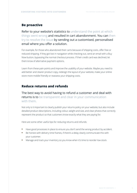#### <span id="page-5-0"></span>**Be proactive**

Refer to your website's statistics to understand the point at which things went wrong and resulted in cart abandonment. You can then try to resolve the issue by sending out a customised, personalised email where you offer a solution.

For example, for those who abandoned their carts because of shipping costs, offer free or reduced shipping. If they got lost in navigation while checking out, send an email with a Buy Now button, bypassing the normal checkout process. If their credit card was declined, let them know of alternative payment options.

Learn from these pain points and improve the usability of your website. Maybe you need to add better and clearer product copy, redesign the layout of your website, make your online store more mobile friendly or reassess your shipping costs.

#### **Reduce returns and refunds**

#### The best way to avoid having to refund a customer and deal with returns is to be transparent and clear in your communication with them.

Not only is it important to clearly publish your returns policy on your website, but also include detailed product descriptions, including colour, weight and size, and clear photos that correctly represent the product so that customers know exactly what they are paying for.

Here are some other useful tips for reducing returns and refunds:

- **•** Have good processes in place to ensure you don't send the wrong product by accident.
- **•** Be honest with delivery time frames, if there's a delay clearly communicate this with your customer.
- **•** Manage and track your inventory so you know when it's time to reorder low stock.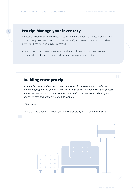### **Pro tip: Manage your inventory**

A great way to foresee inventory needs is to monitor the traffic of your website and to keep track of what you've been sharing on social media. If your marketing campaigns have been successful there could be a spike in demand.

It's also important to pre-empt seasonal trends and holidays that could lead to more consumer demand, and of course stock up before you run any promotions.

### **Building trust pro tip**

*"As an online store, building trust is very important. As convenient and popular as online shopping may be, your consumer needs to trust you in order to click that 'proceed to payment' button. An amazing product paired with a trustworthy brand and great after-sales care and support is a winning formula."*

#### *- CLM Home*

To find out more about CLM Home, read their **[case study](https://www.payfast.co.za/blog/how-clever-little-monkey-built-a-beautiful-brand-with-unique-products/)** and visit **[clmhome.co.za](https://clmhome.co.za/)**

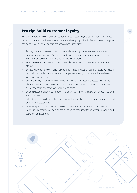## **Pro tip: Build customer loyalty**

While it's important to convert website visitors into customers, it's just as important – if not more so, to make sure they return. While we've already highlighted a few important things you can do to retain customers, here are a few other suggestions:

- **•** Actively communicate with your customers by sending out newsletters about new promotions and specials. You can also add live chat functionally to your website, or at least your social media channels, for an extra nice touch.
- **•** Automate reminder mailers to customers who have been inactive for a certain amount of time.
- **•** Engage with your followers on all of your social media pages by posting regularly. Include posts about specials, promotions and competitions, and you can even share relevant industry news articles.
- **•** Create a loyalty system where customers who opt in can get early access to sales like Black Friday and other special discounts. This is a great way to nurture customers and encourage them to engage with your online store.
- **•** Offer a subscription service for recurring business, this will create value for both you and your customers.
- **•** Sell gift cards, this will not only improve cash flow but also promote brand awareness and bring in new customers.
- **•** Offer exceptional customer service so it's a pleasure for customers to shop with you.
- **•** Continuously improve your online store, including product offering, website usability and customer engagement.